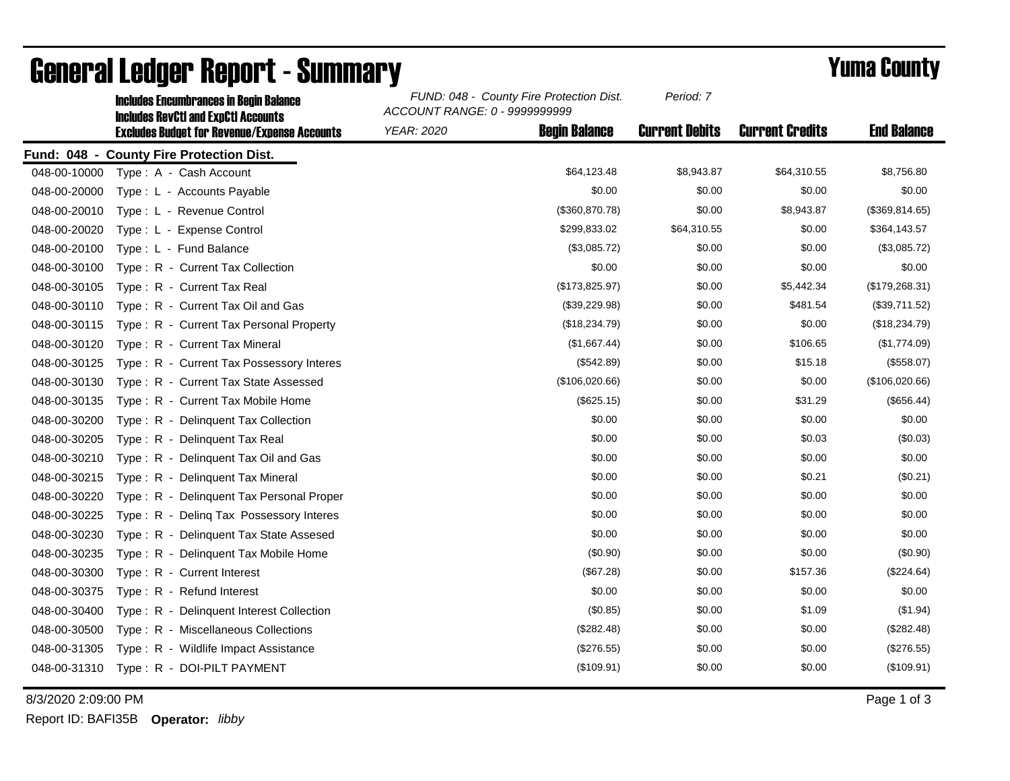|              | <b>Includes Encumbrances in Begin Balance</b><br><b>Includes RevCtI and ExpCtI Accounts</b> | FUND: 048 - County Fire Protection Dist.<br>ACCOUNT RANGE: 0 - 9999999999 | Period: 7             |                        |                    |
|--------------|---------------------------------------------------------------------------------------------|---------------------------------------------------------------------------|-----------------------|------------------------|--------------------|
|              | <b>Excludes Budget for Revenue/Expense Accounts</b>                                         | <b>Begin Balance</b><br><b>YEAR: 2020</b>                                 | <b>Current Debits</b> | <b>Current Credits</b> | <b>End Balance</b> |
| Fund: 048 -  | <b>County Fire Protection Dist.</b>                                                         |                                                                           |                       |                        |                    |
| 048-00-10000 | Type: A - Cash Account                                                                      | \$64,123.48                                                               | \$8,943.87            | \$64,310.55            | \$8,756.80         |
| 048-00-20000 | Type: L - Accounts Payable                                                                  | \$0.00                                                                    | \$0.00                | \$0.00                 | \$0.00             |
| 048-00-20010 | Type: L - Revenue Control                                                                   | (\$360, 870.78)                                                           | \$0.00                | \$8,943.87             | (\$369,814.65)     |
| 048-00-20020 | Type: L - Expense Control                                                                   | \$299,833.02                                                              | \$64,310.55           | \$0.00                 | \$364,143.57       |
| 048-00-20100 | Type: L - Fund Balance                                                                      | (\$3,085.72)                                                              | \$0.00                | \$0.00                 | (\$3,085.72)       |
| 048-00-30100 | Type: R - Current Tax Collection                                                            | \$0.00                                                                    | \$0.00                | \$0.00                 | \$0.00             |
| 048-00-30105 | Type: R - Current Tax Real                                                                  | (\$173,825.97)                                                            | \$0.00                | \$5,442.34             | (\$179,268.31)     |
| 048-00-30110 | Type: R - Current Tax Oil and Gas                                                           | (\$39,229.98)                                                             | \$0.00                | \$481.54               | (\$39,711.52)      |
| 048-00-30115 | Type: R - Current Tax Personal Property                                                     | (\$18,234.79)                                                             | \$0.00                | \$0.00                 | (\$18,234.79)      |
| 048-00-30120 | Type: R - Current Tax Mineral                                                               | (\$1,667.44)                                                              | \$0.00                | \$106.65               | (\$1,774.09)       |
| 048-00-30125 | Type: R - Current Tax Possessory Interes                                                    | (\$542.89)                                                                | \$0.00                | \$15.18                | (\$558.07)         |
| 048-00-30130 | Type: R - Current Tax State Assessed                                                        | (\$106,020.66)                                                            | \$0.00                | \$0.00                 | (\$106,020.66)     |
| 048-00-30135 | Type: R - Current Tax Mobile Home                                                           | (\$625.15)                                                                | \$0.00                | \$31.29                | (\$656.44)         |
| 048-00-30200 | Type: R - Delinquent Tax Collection                                                         | \$0.00                                                                    | \$0.00                | \$0.00                 | \$0.00             |
| 048-00-30205 | Type: R - Delinquent Tax Real                                                               | \$0.00                                                                    | \$0.00                | \$0.03                 | (\$0.03)           |
| 048-00-30210 | Type: R - Delinquent Tax Oil and Gas                                                        | \$0.00                                                                    | \$0.00                | \$0.00                 | \$0.00             |
| 048-00-30215 | Type: R - Delinquent Tax Mineral                                                            | \$0.00                                                                    | \$0.00                | \$0.21                 | (\$0.21)           |
| 048-00-30220 | Type: R - Delinquent Tax Personal Proper                                                    | \$0.00                                                                    | \$0.00                | \$0.00                 | \$0.00             |
| 048-00-30225 | Type: R - Deling Tax Possessory Interes                                                     | \$0.00                                                                    | \$0.00                | \$0.00                 | \$0.00             |
| 048-00-30230 | Type: R - Delinquent Tax State Assesed                                                      | \$0.00                                                                    | \$0.00                | \$0.00                 | \$0.00             |
| 048-00-30235 | Type: R - Delinguent Tax Mobile Home                                                        | (\$0.90)                                                                  | \$0.00                | \$0.00                 | (\$0.90)           |
| 048-00-30300 | Type: R - Current Interest                                                                  | (\$67.28)                                                                 | \$0.00                | \$157.36               | (\$224.64)         |
| 048-00-30375 | Type: R - Refund Interest                                                                   | \$0.00                                                                    | \$0.00                | \$0.00                 | \$0.00             |
| 048-00-30400 | Type: R - Delinquent Interest Collection                                                    | (\$0.85)                                                                  | \$0.00                | \$1.09                 | (\$1.94)           |
| 048-00-30500 | Type: R - Miscellaneous Collections                                                         | (\$282.48)                                                                | \$0.00                | \$0.00                 | (\$282.48)         |
| 048-00-31305 | Type: R - Wildlife Impact Assistance                                                        | $(\$276.55)$                                                              | \$0.00                | \$0.00                 | (\$276.55)         |
| 048-00-31310 | Type: R - DOI-PILT PAYMENT                                                                  | (\$109.91)                                                                | \$0.00                | \$0.00                 | (\$109.91)         |

## General Ledger Report - Summary **Example 2018** Yuma County

8/3/2020 2:09:00 PM Page 1 of 3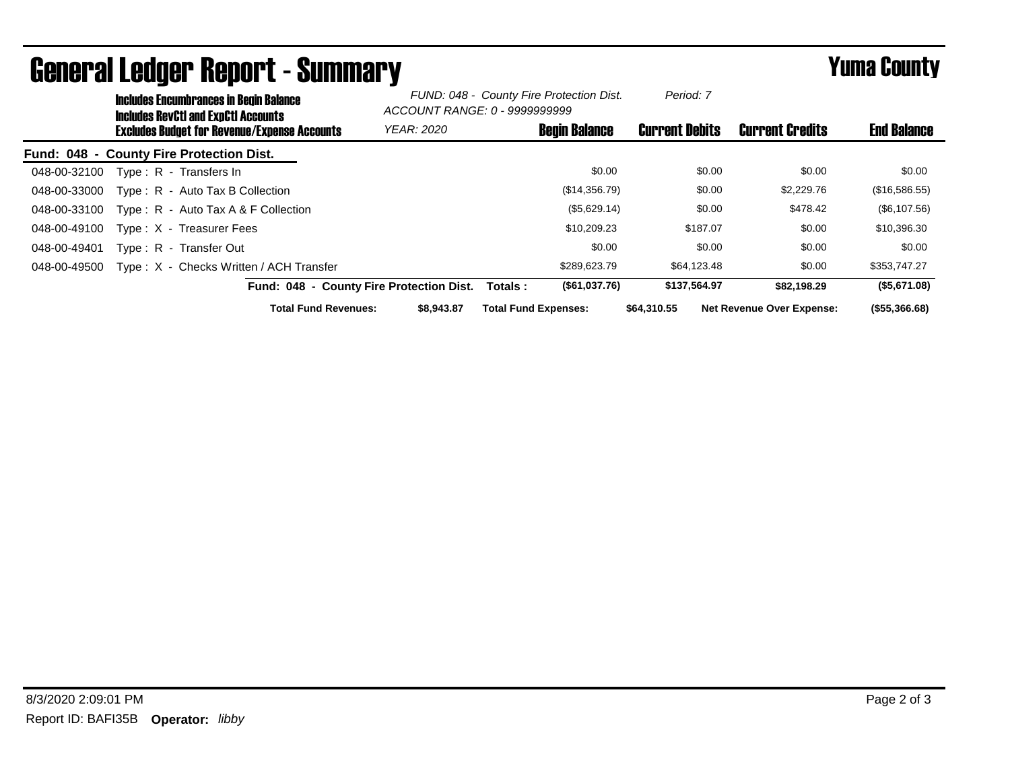|              | <b>Includes Encumbrances in Begin Balance</b><br>Includes RevCtI and ExpCtI Accounts |                                                     | FUND: 048 - County Fire Protection Dist.<br>ACCOUNT RANGE: 0 - 9999999999 |                             | Period: 7            |                       |                                  |                    |
|--------------|--------------------------------------------------------------------------------------|-----------------------------------------------------|---------------------------------------------------------------------------|-----------------------------|----------------------|-----------------------|----------------------------------|--------------------|
|              |                                                                                      | <b>Excludes Budget for Revenue/Expense Accounts</b> | <b>YEAR: 2020</b>                                                         |                             | <b>Begin Balance</b> | <b>Current Debits</b> | <b>Current Credits</b>           | <b>End Balance</b> |
|              |                                                                                      | Fund: 048 - County Fire Protection Dist.            |                                                                           |                             |                      |                       |                                  |                    |
| 048-00-32100 |                                                                                      | Type: R - Transfers In                              |                                                                           |                             | \$0.00               | \$0.00                | \$0.00                           | \$0.00             |
| 048-00-33000 |                                                                                      | Type: R - Auto Tax B Collection                     |                                                                           |                             | (\$14,356.79)        | \$0.00                | \$2,229.76                       | (\$16,586.55)      |
| 048-00-33100 |                                                                                      | Type : $R -$ Auto Tax A & F Collection              |                                                                           |                             | (\$5,629.14)         | \$0.00                | \$478.42                         | (\$6,107.56)       |
| 048-00-49100 |                                                                                      | Type: X - Treasurer Fees                            |                                                                           |                             | \$10,209.23          | \$187.07              | \$0.00                           | \$10,396.30        |
| 048-00-49401 |                                                                                      | Type: R - Transfer Out                              |                                                                           |                             | \$0.00               | \$0.00                | \$0.00                           | \$0.00             |
| 048-00-49500 |                                                                                      | Type: X - Checks Written / ACH Transfer             |                                                                           |                             | \$289,623.79         | \$64,123.48           | \$0.00                           | \$353,747.27       |
|              |                                                                                      | Fund: 048 - County Fire Protection Dist.            |                                                                           | Totals :                    | (\$61,037.76)        | \$137,564.97          | \$82,198,29                      | (\$5,671.08)       |
|              |                                                                                      | <b>Total Fund Revenues:</b>                         | \$8,943.87                                                                | <b>Total Fund Expenses:</b> |                      | \$64,310.55           | <b>Net Revenue Over Expense:</b> | (\$55,366.68)      |

## General Ledger Report - Summary **Example 2018** Yuma County